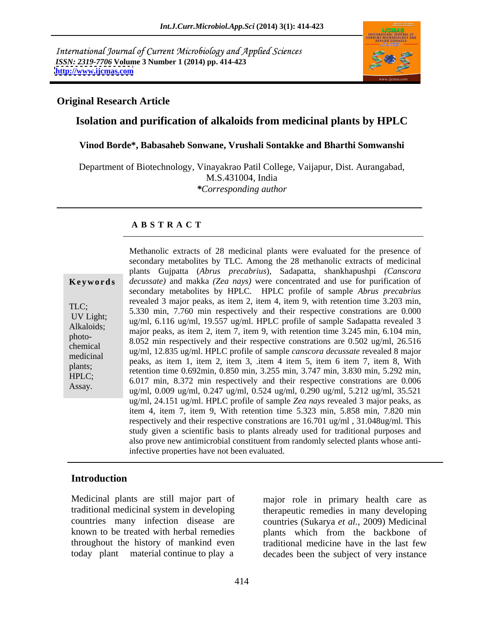International Journal of Current Microbiology and Applied Sciences *ISSN: 2319-7706* **Volume 3 Number 1 (2014) pp. 414-423 <http://www.ijcmas.com>**



#### **Original Research Article**

# **Isolation and purification of alkaloids from medicinal plants by HPLC**

#### **Vinod Borde\*, Babasaheb Sonwane, Vrushali Sontakke and Bharthi Somwanshi**

Department of Biotechnology, Vinayakrao Patil College, Vaijapur, Dist. Aurangabad, M.S.431004, India *\*Corresponding author* 

#### **A B S T R A C T**

**Keywords** *decussate*) and makka *(Zea nays)* were concentrated and use for purification of TLC;<br>5.330 min, 7.760 min respectively and their respective constrations are  $0.000$ UV Light;<br>
ug/ml, 6.116 ug/ml, 19.557 ug/ml. HPLC profile of sample Sadapatta revealed 3 Alkaloids; and  $\frac{dS}{m}$ ,  $\frac{S}{m}$ ,  $\frac{S}{m}$ ,  $\frac{S}{m}$ ,  $\frac{S}{m}$ ,  $\frac{S}{m}$ ,  $\frac{S}{m}$ ,  $\frac{S}{m}$ ,  $\frac{S}{m}$ ,  $\frac{S}{m}$ ,  $\frac{S}{m}$ ,  $\frac{S}{m}$ ,  $\frac{S}{m}$ ,  $\frac{S}{m}$ ,  $\frac{S}{m}$ ,  $\frac{S}{m}$ ,  $\frac{S}{m}$ ,  $\frac{S}{m}$ ,  $\frac{S}{m$ photo-<br>8.052 min respectively and their respective constrations are 0.502 ug/ml, 26.516 chemical ug/ml, 12.835 ug/ml. HPLC profile of sample *canscora decussate* revealed 8 major medicinal  $\frac{u_0}{m}$ , 12.055  $u_0/m$ , 11 EC prome of sample canselora accassare revealed 6 major<br>peaks, as item 1, item 2, item 3, .item 4 item 5, item 6 item 7, item 8, With plants;<br>retention time 0.692min, 0.850 min, 3.255 min, 3.747 min, 3.830 min, 5.292 min, HPLC;<br>6.017 min, 8.372 min respectively and their respective constrations are 0.006 Assay. 6.017 https://www.ug/ml, 0.247 ug/ml, 0.524 ug/ml, 0.290 ug/ml, 5.212 ug/ml, 35.521 secondary metabolites by TLC. Among the 28 methanolic extracts of medicinal plants Gujpatta (*Abrus precabrius*), Sadapatta, shankhapushpi *(Canscora*  secondary metabolites by HPLC. HPLC profile of sample *Abrus precabrius* revealed 3 major peaks, as item 2, item 4, item 9, with retention time 3.203 min, ug/ml, 24.151 ug/ml. HPLC profile of sample *Zea nays* revealed 3 major peaks, as item 4, item 7, item 9, With retention time 5.323 min, 5.858 min, 7.820 min respectively and their respective constrations are 16.701 ug/ml , 31.048ug/ml. This study given a scientific basis to plants already used for traditional purposes and also prove new antimicrobial constituent from randomly selected plants whose antiinfective properties have not been evaluated.

Methanolic extracts of 28 medicinal plants were evaluated for the presence of

### **Introduction**

Medicinal plants are still major part of major role in primary health care as

traditional medicinal system in developing therapeutic remedies in many developing countries many infection disease are countries (Sukarya *et al.,* 2009) Medicinal known to be treated with herbal remedies plants which from the backbone of throughout the history of mankind even traditional medicine have in the last few today plant material continue to play a decades been the subject of very instance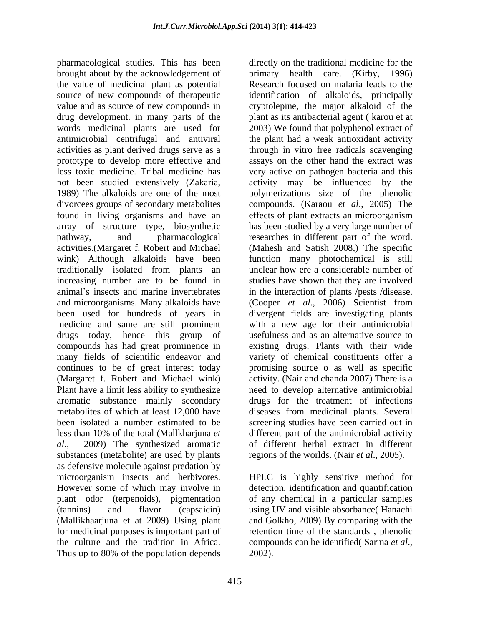pharmacological studies. This has been brought about by the acknowledgement of the value of medicinal plant as potential source of new compounds of therapeutic identification of alkaloids, principally value and as source of new compounds in cryptolepine, the major alkaloid of the drug development. in many parts of the words medicinal plants are used for 2003) We found that polyphenol extract of antimicrobial centrifugal and antiviral the plant had a weak antioxidant activity activities as plant derived drugs serve as a prototype to develop more effective and assays on the other hand the extract was less toxic medicine. Tribal medicine has very active on pathogen bacteria and this not been studied extensively (Zakaria, activity may be influenced by the 1989) The alkaloids are one of the most polymerizations size of the phenolic divorcees groups of secondary metabolites compounds. (Karaou *et al*., 2005) The found in living organisms and have an effects of plant extracts an microorganism array of structure type, biosynthetic pathway, and pharmacological researches in different part of the word. activities.(Margaret f. Robert and Michael (Mahesh and Satish 2008,) The specific wink) Although alkaloids have been function many photochemical is still traditionally isolated from plants an increasing number are to be found in studies have shown that they are involved animal's insects and marine invertebrates in the interaction of plants /pests /disease. and microorganisms. Many alkaloids have  $(Cooper et al., 2006)$  Scientist from been used for hundreds of years in divergent fields are investigating plants medicine and same are still prominent with a new age for their antimicrobial drugs today, hence this group of usefulness and as an alternative source to compounds has had great prominence in existing drugs. Plants with their wide many fields of scientific endeavor and variety of chemical constituents offer a continues to be of great interest today (Margaret f. Robert and Michael wink) activity. (Nair and chanda 2007) There is a Plant have a limit less ability to synthesize heed to develop alternative antimicrobial aromatic substance mainly secondary drugs for the treatment of infections metabolites of which at least 12,000 have diseases from medicinal plants. Several been isolated a number estimated to be screening studies have been carried out in less than 10% of the total (Mallkharjuna *et al.,* 2009) The synthesized aromatic of different herbal extract in different substances (metabolite) are used by plants regions of the worlds. (Nair *et al.*, 2005). as defensive molecule against predation by microorganism insects and herbivores. HPLC is highly sensitive method for However some of which may involve in detection, identification and quantification plant odor (terpenoids), pigmentation of any chemical in a particular samples (tannins) and flavor (capsaicin) using UV and visible absorbance( Hanachi (Mallikhaarjuna et at 2009) Using plant and Golkho, 2009) By comparing with the for medicinal purposes is important part of retention time of the standards, phenolic the culture and the tradition in Africa. compounds can be identified (Sarma et al.,

directly on the traditional medicine for the primary health care. (Kirby, 1996) Research focused on malaria leads to the plant as its antibacterial agent ( karou et at through in vitro free radicals scavenging has been studied by a very large number of unclear how ere a considerable number of (Cooper *et al*., 2006) Scientist from promising source o as well as specific different part of the antimicrobial activity

Thus up to 80% of the population depends 2002). compounds can be identified( Sarma *et al*., 2002).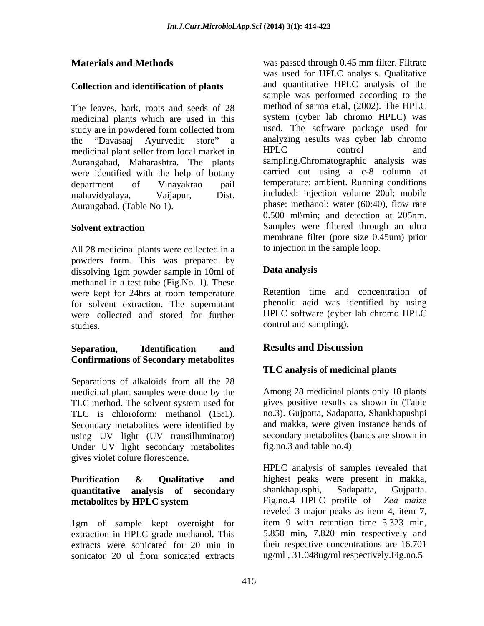## **Collection and identification of plants**

The leaves, bark, roots and seeds of 28 medicinal plants which are used in this study are in powdered form collected from the "Davasaaj Ayurvedic store" a analyzing results was cyber lab chromo<br>medicinal plant seller from local market in HPLC control and medicinal plant seller from local market in Aurangabad, Maharashtra. The plants were identified with the help of botany

All 28 medicinal plants were collected in a powders form. This was prepared by<br>dissolving 1gm nowder sample in 10ml of **Data analysis** dissolving 1gm powder sample in 10ml of methanol in a test tube (Fig.No. 1). These were kept for 24hrs at room temperature for solvent extraction. The supernatant were collected and stored for further studies. control and sampling).

#### **Separation, Identification and Confirmations of Secondary metabolites**

Separations of alkaloids from all the 28 medicinal plant samples were done by the TLC method. The solvent system used for TLC is chloroform: methanol (15:1). no.3). Gujpatta, Sadapatta, Shankhapushpi<br>Secondary metabolites were identified by and makka, were given instance bands of using UV light (UV transilluminator) Under UV light secondary metabolites gives violet colure florescence.

# **quantitative analysis of secondary** shankhapusphi, Sadapatta, Gujpatta.<br> **metabolites by HPLC system** Fig.no.4 HPLC profile of Zea maize

1gm of sample kept overnight for extraction in HPLC grade methanol. This sonicator 20 ul from sonicated extracts ug/ml, 31.048ug/ml respectively. Fig.no.5

**Materials and Methods** was passed through 0.45 mm filter. Filtrate department of Vinayakrao pail temperature: ambient. Running conditions mahavidyalaya, Vaijapur, Dist. included: injection volume 20ul; mobile Aurangabad. (Table No 1). phase: methanol: water (60:40), flow rate **Solvent extraction** Samples were filtered through an ultra was used for HPLC analysis. Qualitative and quantitative HPLC analysis of the sample was performed according to the method of sarma et.al, (2002). The HPLC system (cyber lab chromo HPLC) was used. The software package used for analyzing results was cyber lab chromo HPLC control and sampling.Chromatographic analysis was carried out using a c-8 column at 0.500 ml\min; and detection at 205nm. Samples were filtered through an ultra membrane filter (pore size 0.45um) prior to injection in the sample loop.

# **Data analysis**

Retention time and concentration of phenolic acid was identified by using HPLC software (cyber lab chromo HPLC

# **Results and Discussion**

# **TLC analysis of medicinal plants**

Among 28 medicinal plants only 18 plants gives positive results as shown in (Table no.3). Gujpatta, Sadapatta, Shankhapushpi and makka, were given instance bands of secondary metabolites (bands are shown in fig.no.3 and table no.4)

**Purification & Qualitative and metabolites by HPLC system** Fig.no.4 HPLC profile of Zea maize extracts were sonicated for 20 min in their respective concentrations are 16.701 HPLC analysis of samples revealed that highest peaks were present in makka, shankhapusphi, Sadapatta, Gujpatta. Fig.no.4 HPLC profile of *Zea maize* reveled 3 major peaks as item 4, item 7, item 9 with retention time 5.323 min, 5.858 min, 7.820 min respectively and ug/ml , 31.048ug/ml respectively.Fig.no.5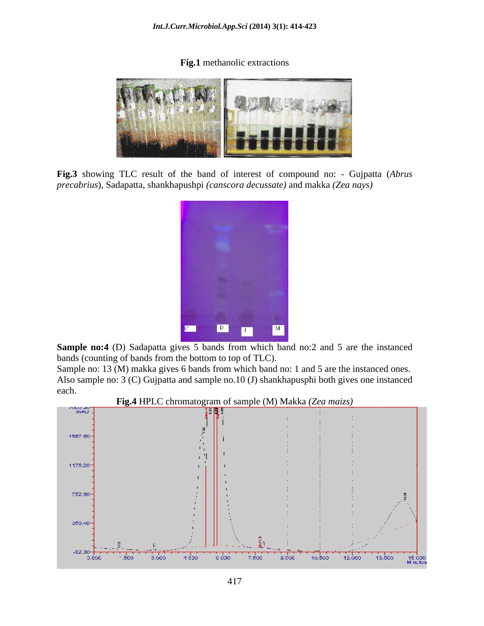**Fig.1** methanolic extractions



**Fig.3** showing TLC result of the band of interest of compound no: - Gujpatta (*Abrus precabrius*), Sadapatta, shankhapushpi *(canscora decussate)* and makka *(Zea nays)*



**Sample no:4** (D) Sadapatta gives 5 bands from which band no:2 and 5 are the instanced bands (counting of bands from the bottom to top of TLC).

Sample no: 13 (M) makka gives 6 bands from which band no: 1 and 5 are the instanced ones. Also sample no: 3 (C) Gujpatta and sample no.10 (J) shankhapusphi both gives one instanced each. **Each** contains the containing of the containing of the containing of the containing of the containing of the containing of the containing of the containing of the containing of the containing of the containing of th



**Fig.4** HPLC chromatogram of sample (M) Makka *(Zea maizs)*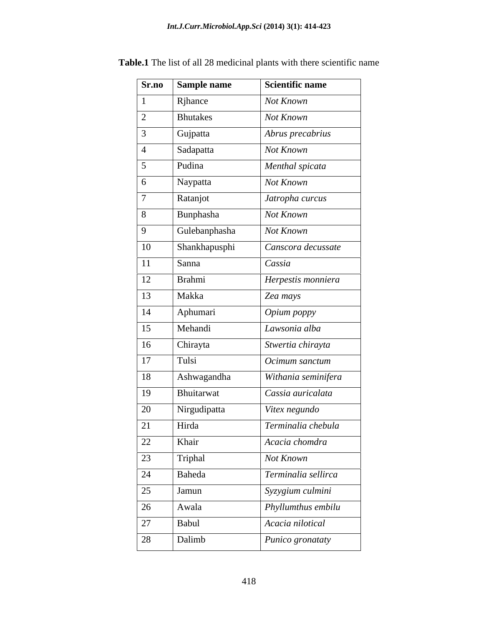| Sr.no           | Sample name     | Scientific name     |
|-----------------|-----------------|---------------------|
|                 | Rjhance         | Not Known           |
| 2               | <b>Bhutakes</b> | Not Known           |
| $\mathcal{R}$   | Gujpatta        | Abrus precabrius    |
|                 | Sadapatta       | Not Known           |
| 5 <sup>5</sup>  | Pudina          | Menthal spicata     |
| $\boxed{6}$     | Naypatta        | Not Known           |
| $\mathcal{I}$   | Ratanjot        | Jatropha curcus     |
| 8 <sup>1</sup>  | Bunphasha       | Not Known           |
| $\overline{9}$  | Gulebanphasha   | Not Known           |
| $\vert$ 10      | Shankhapusphi   | Canscora decussate  |
| <sup>11</sup>   | Sanna           | Cassia              |
| <sup>12</sup>   | Brahmi          | Herpestis monniera  |
| 13              | Makka           | Zea mays            |
| 14              | Aphumari        | Opium poppy         |
| 15              | Mehandi         | Lawsonia alba       |
| 16              | Chirayta        | Stwertia chirayta   |
| 17              | Tulsi           | Ocimum sanctum      |
| 18              | Ashwagandha     | Withania seminifera |
| 19              | Bhuitarwat      | Cassia auricalata   |
| 20              | Nirgudipatta    | Vitex negundo       |
| 21              | Hirda           | Terminalia chebula  |
| $\overline{22}$ | Khair           | Acacia chomdra      |
| 23              | Triphal         | Not Known           |
| 24              | Baheda          | Terminalia sellirca |
| 25              | Jamun           | Syzygium culmini    |
| 26              | Awala           | Phyllumthus embilu  |
| 27              | Babul           | Acacia nilotical    |
| 28              | Dalimb          | Punico gronataty    |

**Table.1** The list of all 28 medicinal plants with there scientific name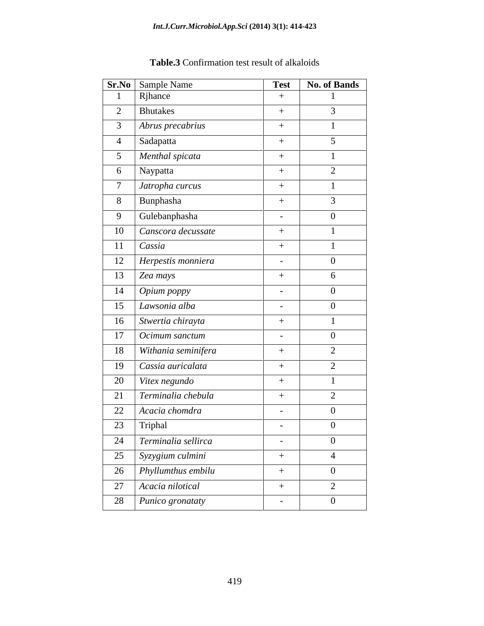|                 | Sr.No Sample Name                              | <b>Test</b>    | <b>No. of Bands</b> |
|-----------------|------------------------------------------------|----------------|---------------------|
|                 | Rjhance                                        | $+$            |                     |
| 2               | Bhutakes                                       | $+$            | $\overline{3}$      |
| $\mathfrak{Z}$  | Abrus precabrius                               | $+$            |                     |
| $\overline{4}$  | Sadapatta                                      | $+$            | $5\overline{)}$     |
| 5 <sup>5</sup>  | Menthal spicata                                | $+$            |                     |
|                 | 6 Naypatta                                     | $+$            | 2                   |
| $7\phantom{.0}$ | Jatropha curcus                                | $+$            |                     |
|                 | $\boxed{8}$ Bunphasha                          | $+$            | $\overline{3}$      |
| 9               | Gulebanphasha                                  | $\sim$         | $\Omega$            |
|                 | 10 Canscora decussate                          | $+$            |                     |
| 11              | Cassia                                         | $+$            |                     |
|                 | 12   Herpestis monniera                        | $\sim$         | $\Omega$            |
|                 | $13$ Zea mays                                  | $+$            | 6                   |
|                 | $\overline{\phantom{a}}$ 14 <i>Opium poppy</i> | $\sim$ $ \sim$ | $\Omega$            |
|                 | $15$ Lawsonia alba                             | $\sim$         | $\overline{0}$      |
| 16              | Stwertia chirayta                              | $+$            |                     |
|                 | 17   Ocimum sanctum                            | $\sim$ $-$     | $\overline{0}$      |
|                 | 18 Withania seminifera                         | $+$            | 2                   |
| 19              | $\sqrt{2}$ Cassia auricalata                   | $+$            | 2                   |
|                 | $\boxed{20}$ Vitex negundo                     | $+$            |                     |
| 21              | $\vert$ Terminalia chebula                     | $+$            | 2                   |
|                 | 22 Acacia chomdra                              | $\sim$         | $\overline{0}$      |
| 23              | Triphal                                        | $\sim$         | $\Omega$            |
| 24              | $\vert$ Terminalia sellirca                    | $\sim$ $ \sim$ |                     |
| 25              | Syzygium culmini                               | $+$            | $\overline{4}$      |
| 26              | Phyllumthus embilu                             | $+$            | $\overline{0}$      |
| 27              | Acacia nilotical                               | $+$            | 2                   |
| 28              |                                                |                |                     |

| $Table 3 \cap$<br>S Confirmation test result of alkaloids |  |  |
|-----------------------------------------------------------|--|--|
|-----------------------------------------------------------|--|--|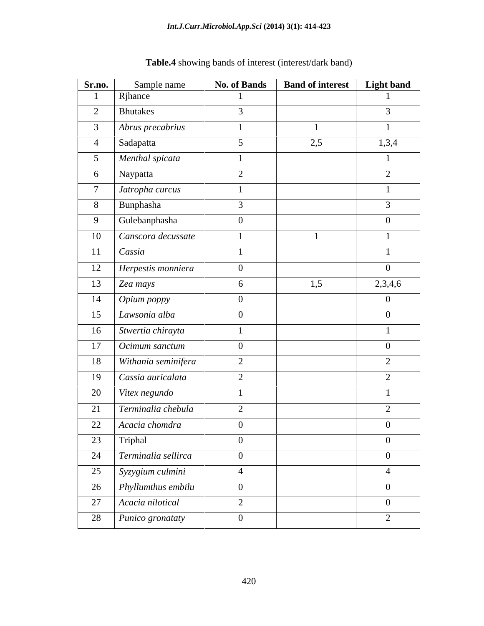| Sr.no.          | Sample name           | <b>No. of Bands</b> | <b>Band of interest</b> | Light band     |
|-----------------|-----------------------|---------------------|-------------------------|----------------|
|                 | Rjhance               |                     |                         |                |
| $\overline{2}$  | <b>Bhutakes</b>       | $\mathcal{E}$       |                         | $\mathfrak{Z}$ |
| 3 <sup>7</sup>  | Abrus precabrius      | $\overline{1}$      |                         |                |
| $\overline{4}$  | Sadapatta             | 5 <sup>5</sup>      | 2,5                     | 1,3,4          |
| 5 <sup>5</sup>  | Menthal spicata       |                     |                         |                |
| 6               | Naypatta              | 2                   |                         | 2              |
| $7\overline{ }$ | Jatropha curcus       | $\overline{1}$      |                         |                |
| 8               | Bunphasha             | $\mathbf{3}$        |                         | $\mathfrak{Z}$ |
|                 | 9 Gulebanphasha       | $\overline{0}$      |                         | $\overline{0}$ |
| 10              | Canscora decussate    | $\overline{1}$      |                         |                |
|                 | $11$ Cassia           | $\overline{1}$      |                         |                |
| 12              | Herpestis monniera    | $\overline{0}$      |                         | $\overline{0}$ |
| 13              | Zea mays              | 6                   | 1,5                     | 2,3,4,6        |
| 14              | Opium poppy           | $\overline{0}$      |                         | $\overline{0}$ |
| 15              | Lawsonia alba         | $\overline{0}$      |                         | $\overline{0}$ |
| 16              | Stwertia chirayta     | $\overline{1}$      |                         |                |
|                 | 17   Ocimum sanctum   | $\overline{0}$      |                         | $\overline{0}$ |
| 18              | Withania seminifera   | 2                   |                         | $\overline{2}$ |
| 19              | Cassia auricalata     | 2                   |                         | 2              |
| 20              | Vitex negundo         |                     |                         |                |
| 21              | Terminalia chebula    | 2                   |                         | $\overline{2}$ |
| 22              | Acacia chomdra        | $\overline{0}$      |                         | $\overline{0}$ |
| 23              | Triphal               | $\overline{0}$      |                         | $\overline{0}$ |
| 24              | Terminalia sellirca   | $\overline{0}$      |                         | $\overline{0}$ |
| 25              | Syzygium culmini      | $\overline{4}$      |                         | $\overline{4}$ |
|                 | 26 Phyllumthus embilu | $\overline{0}$      |                         | $\overline{0}$ |
|                 | 27   Acacia nilotical | 2                   |                         | $\overline{0}$ |
| 28              |                       | $\mathbf{0}$        |                         | $\overline{2}$ |
|                 | Punico gronataty      |                     |                         |                |

# **Table.4** showing bands of interest (interest/dark band)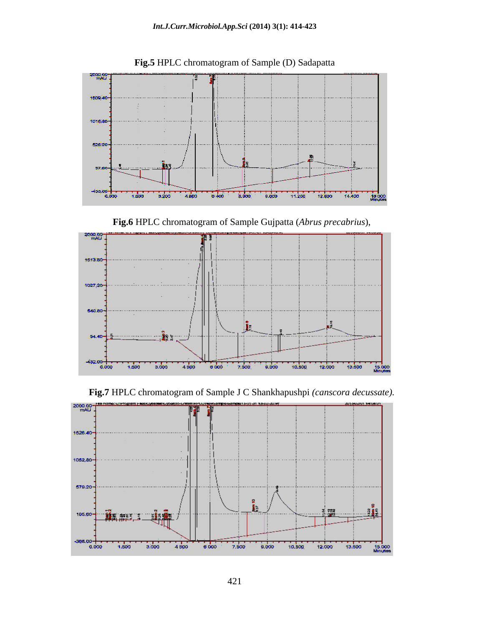

**Fig.5** HPLC chromatogram of Sample (D) Sadapatta





**Fig.7** HPLC chromatogram of Sample J C Shankhapushpi *(canscora decussate).*

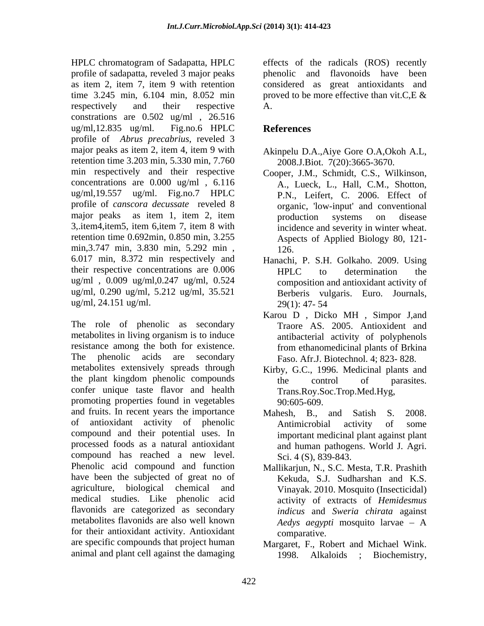HPLC chromatogram of Sadapatta, HPLC effects of the radicals (ROS) recently profile of sadapatta, reveled 3 major peaks as item 2, item 7, item 9 with retention considered as great antioxidants and time 3.245 min, 6.104 min, 8.052 min proved to be more effective than vit.C, E & respectively and their respective A. constrations are 0.502 ug/ml , 26.516 ug/ml,12.835 ug/ml. Fig.no.6 HPLC **References** profile of *Abrus precabrius*, reveled 3 major peaks as item 2, item 4, item 9 with retention time 3.203 min, 5.330 min, 7.760 min respectively and their respective concentrations are 0.000 ug/ml , 6.116 ug/ml,19.557 ug/ml. Fig.no.7 HPLC P.N., Leifert, C. 2006. Effect of profile of *canscora decussate* reveled 8 major peaks as item 1, item 2, item broduction systems on disease 3,.item4,item5, item 6,item 7, item 8 with retention time 0.692min, 0.850 min, 3.255 Aspects of Applied Biology 80, 121 min, 3.747 min, 3.830 min, 5.292 min, 126, 6.017 min, 8.372 min respectively and their respective concentrations are 0.006 HPLC to determination the ug/ml , 0.009 ug/ml,0.247 ug/ml, 0.524 ug/ml, 0.290 ug/ml, 5.212 ug/ml, 35.521 ug/ml, 24.151 ug/ml.

The role of phenolic as secondary metabolites in living organism is to induce resistance among the both for existence. The phenolic acids are secondary metabolites extensively spreads through Kirby, G.C., 1996. Medicinal plants and the plant kingdom phenolic compounds the control of parasites. confer unique taste flavor and health promoting properties found in vegetables 90:605-609. and fruits. In recent years the importance Mahesh. B., and Satish S. 2008. of antioxidant activity of phenolic compound and their potential uses. In processed foods as a natural antioxidant compound has reached a new level. Phenolic acid compound and function Mallikarjun, N., S.C. Mesta, T.R. Prashith have been the subjected of great no of agriculture, biological chemical and Vinayak. 2010. Mosquito (Insecticidal) medical studies. Like phenolic acid flavonids are categorized as secondary metabolites flavonids are also well known for their antioxidant activity. Antioxidant comparative. are specific compounds that project human Margaret, F., Robert and Michael Wink.

phenolic and flavonoids have been proved to be more effective than vit.C, E  $\&$ A.

# **References**

- Akinpelu D.A.,Aiye Gore O.A,Okoh A.L, 2008.J.Biot. 7(20):3665-3670.
- Cooper, J.M., Schmidt, C.S., Wilkinson, A., Lueck, L., Hall, C.M., Shotton, organic, 'low-input' and conventional production systems on disease incidence and severity in winter wheat. 126.
- Hanachi, P. S.H. Golkaho. 2009. Using HPLC to determination the composition and antioxidant activity of Berberis vulgaris. Euro. Journals, 29(1): 47- 54
- Karou D , Dicko MH , Simpor J,and Traore AS. 2005. Antioxident and antibacterial activity of polyphenols from ethanomedicinal plants of Brkina Faso. Afr.J. Biotechnol. 4; 823- 828.
- the control of parasites. Trans.Roy.Soc.Trop.Med.Hyg, 90:605-609.
- Mahesh, B., and Satish S. 2008. Antimicrobial activity of some important medicinal plant against plant and human pathogens. World J. Agri. Sci. 4 (S), 839-843.
- Kekuda, S.J. Sudharshan and K.S. activity of extracts of *Hemidesmus indicus* and *Sweria chirata* against *Aedys aegypti* mosquito larvae – A comparative.
- animal and plant cell against the damaging  $1998$ . Alkaloids ; Biochemistry, 1998. Alkaloids ;